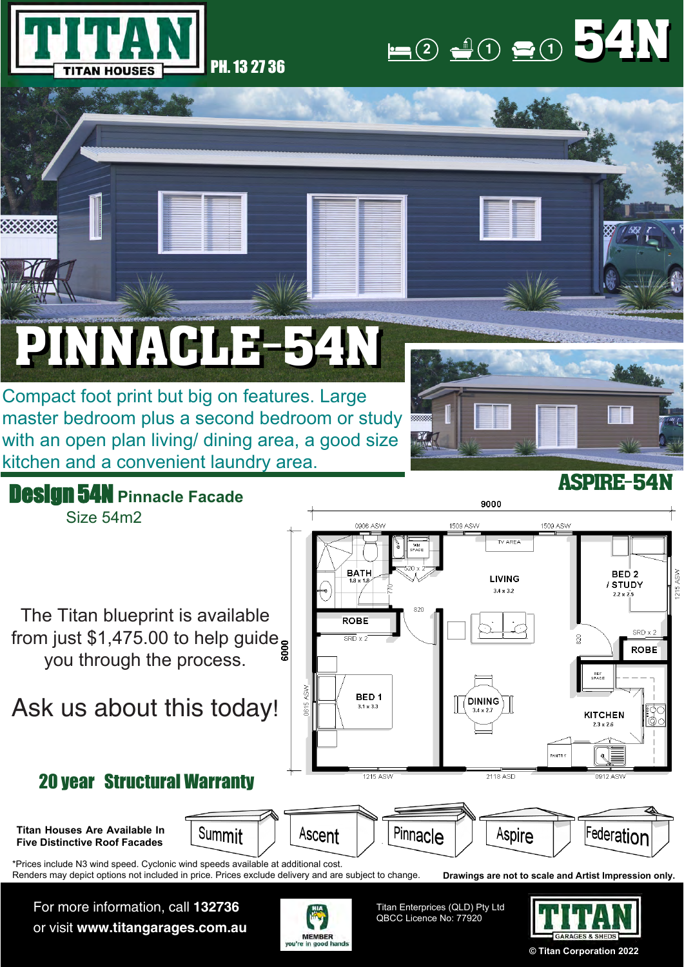

## $(1)$  **1 1 1 1** 54N 54N

## PINNACLE-54N PINNACLE-54N

Compact foot print but big on features. Large master bedroom plus a second bedroom or study with an open plan living/ dining area, a good size kitchen and a convenient laundry area.





For more information, call **132736** or visit **www.titangarages.com.au**



Titan Enterprices (QLD) Pty Ltd QBCC Licence No: 77920



**© Titan Corporation 2022**